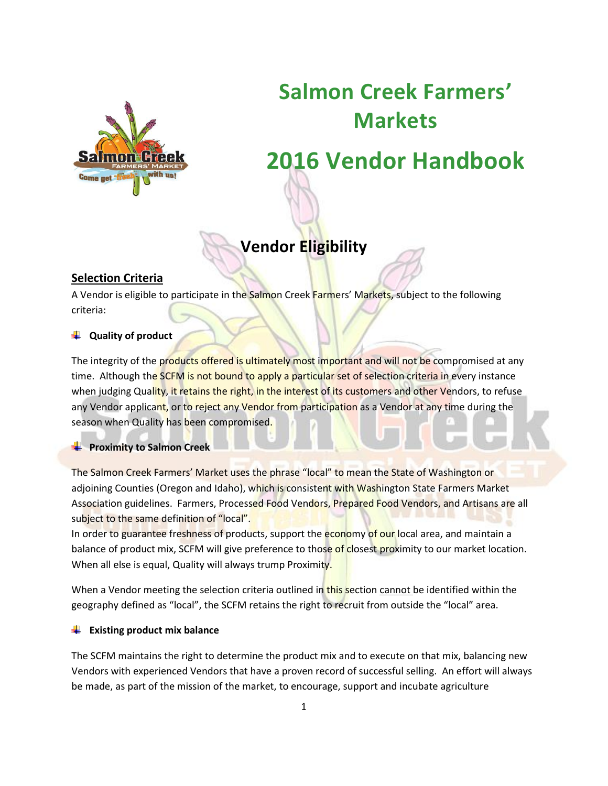

# **Salmon Creek Farmers' Markets**

# **2016 Vendor Handbook**

# **Vendor Eligibility**

# **Selection Criteria**

A Vendor is eligible to participate in the Salmon Creek Farmers' Markets, subject to the following criteria:

## **Quality of product**

The integrity of the products offered is ultimately most important and will not be compromised at any time. Although the SCFM is not bound to apply a particular set of selection criteria in every instance when judging Quality, it retains the right, in the interest of its customers and other Vendors, to refuse any Vendor applicant, or to reject any Vendor from participation as a Vendor at any time during the season when Quality has been compromised.

### **Proximity to Salmon Creek**

The Salmon Creek Farmers' Market uses the phrase "local" to mean the State of Washington or adjoining Counties (Oregon and Idaho), which is consistent with Washington State Farmers Market Association guidelines. Farmers, Processed Food Vendors, Prepared Food Vendors, and Artisans are all subject to the same definition of "local".

In order to guarantee freshness of products, support the economy of our local area, and maintain a balance of product mix, SCFM will give preference to those of closest proximity to our market location. When all else is equal, Quality will always trump Proximity.

When a Vendor meeting the selection criteria outlined in this section cannot be identified within the geography defined as "local", the SCFM retains the right to recruit from outside the "local" area.

### **Existing product mix balance**

The SCFM maintains the right to determine the product mix and to execute on that mix, balancing new Vendors with experienced Vendors that have a proven record of successful selling. An effort will always be made, as part of the mission of the market, to encourage, support and incubate agriculture